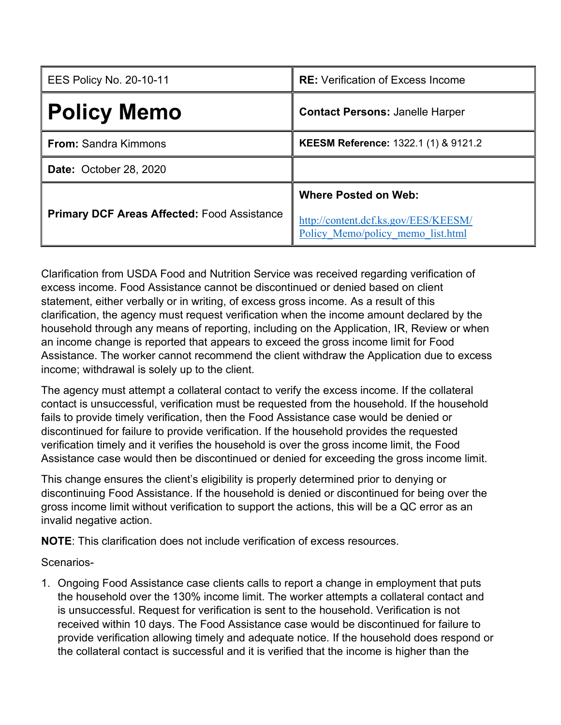| <b>EES Policy No. 20-10-11</b>                     | <b>RE:</b> Verification of Excess Income                                                                 |
|----------------------------------------------------|----------------------------------------------------------------------------------------------------------|
| <b>Policy Memo</b>                                 | <b>Contact Persons: Janelle Harper</b>                                                                   |
| <b>From:</b> Sandra Kimmons                        | KEESM Reference: 1322.1 (1) & 9121.2                                                                     |
| <b>Date: October 28, 2020</b>                      |                                                                                                          |
| <b>Primary DCF Areas Affected: Food Assistance</b> | <b>Where Posted on Web:</b><br>http://content.dcf.ks.gov/EES/KEESM/<br>Policy Memo/policy memo list.html |

Clarification from USDA Food and Nutrition Service was received regarding verification of excess income. Food Assistance cannot be discontinued or denied based on client statement, either verbally or in writing, of excess gross income. As a result of this clarification, the agency must request verification when the income amount declared by the household through any means of reporting, including on the Application, IR, Review or when an income change is reported that appears to exceed the gross income limit for Food Assistance. The worker cannot recommend the client withdraw the Application due to excess income; withdrawal is solely up to the client.

The agency must attempt a collateral contact to verify the excess income. If the collateral contact is unsuccessful, verification must be requested from the household. If the household fails to provide timely verification, then the Food Assistance case would be denied or discontinued for failure to provide verification. If the household provides the requested verification timely and it verifies the household is over the gross income limit, the Food Assistance case would then be discontinued or denied for exceeding the gross income limit.

This change ensures the client's eligibility is properly determined prior to denying or discontinuing Food Assistance. If the household is denied or discontinued for being over the gross income limit without verification to support the actions, this will be a QC error as an invalid negative action.

**NOTE**: This clarification does not include verification of excess resources.

Scenarios-

1. Ongoing Food Assistance case clients calls to report a change in employment that puts the household over the 130% income limit. The worker attempts a collateral contact and is unsuccessful. Request for verification is sent to the household. Verification is not received within 10 days. The Food Assistance case would be discontinued for failure to provide verification allowing timely and adequate notice. If the household does respond or the collateral contact is successful and it is verified that the income is higher than the